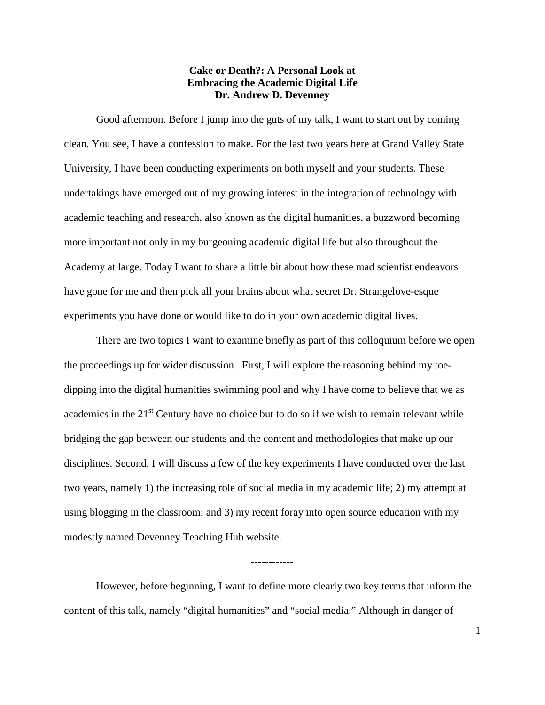## **Cake or Death?: A Personal Look at Embracing the Academic Digital Life Dr. Andrew D. Devenney**

Good afternoon. Before I jump into the guts of my talk, I want to start out by coming clean. You see, I have a confession to make. For the last two years here at Grand Valley State University, I have been conducting experiments on both myself and your students. These undertakings have emerged out of my growing interest in the integration of technology with academic teaching and research, also known as the digital humanities, a buzzword becoming more important not only in my burgeoning academic digital life but also throughout the Academy at large. Today I want to share a little bit about how these mad scientist endeavors have gone for me and then pick all your brains about what secret Dr. Strangelove-esque experiments you have done or would like to do in your own academic digital lives.

There are two topics I want to examine briefly as part of this colloquium before we open the proceedings up for wider discussion. First, I will explore the reasoning behind my toedipping into the digital humanities swimming pool and why I have come to believe that we as academics in the  $21<sup>st</sup>$  Century have no choice but to do so if we wish to remain relevant while bridging the gap between our students and the content and methodologies that make up our disciplines. Second, I will discuss a few of the key experiments I have conducted over the last two years, namely 1) the increasing role of social media in my academic life; 2) my attempt at using blogging in the classroom; and 3) my recent foray into open source education with my modestly named Devenney Teaching Hub website.

However, before beginning, I want to define more clearly two key terms that inform the content of this talk, namely "digital humanities" and "social media." Although in danger of

------------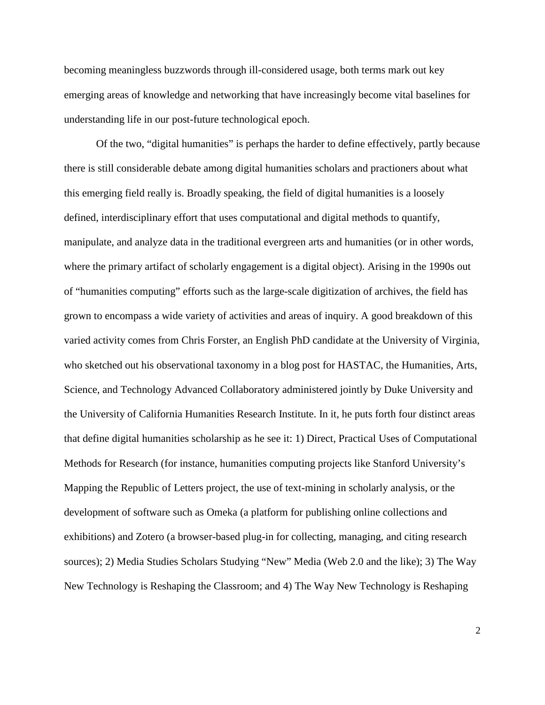becoming meaningless buzzwords through ill-considered usage, both terms mark out key emerging areas of knowledge and networking that have increasingly become vital baselines for understanding life in our post-future technological epoch.

Of the two, "digital humanities" is perhaps the harder to define effectively, partly because there is still considerable debate among digital humanities scholars and practioners about what this emerging field really is. Broadly speaking, the field of digital humanities is a loosely defined, interdisciplinary effort that uses computational and digital methods to quantify, manipulate, and analyze data in the traditional evergreen arts and humanities (or in other words, where the primary artifact of scholarly engagement is a digital object). Arising in the 1990s out of "humanities computing" efforts such as the large-scale digitization of archives, the field has grown to encompass a wide variety of activities and areas of inquiry. A good breakdown of this varied activity comes from Chris Forster, an English PhD candidate at the University of Virginia, who sketched out his observational taxonomy in a blog post for HASTAC, the Humanities, Arts, Science, and Technology Advanced Collaboratory administered jointly by Duke University and the University of California Humanities Research Institute. In it, he puts forth four distinct areas that define digital humanities scholarship as he see it: 1) Direct, Practical Uses of Computational Methods for Research (for instance, humanities computing projects like Stanford University's Mapping the Republic of Letters project, the use of text-mining in scholarly analysis, or the development of software such as Omeka (a platform for publishing online collections and exhibitions) and Zotero (a browser-based plug-in for collecting, managing, and citing research sources); 2) Media Studies Scholars Studying "New" Media (Web 2.0 and the like); 3) The Way New Technology is Reshaping the Classroom; and 4) The Way New Technology is Reshaping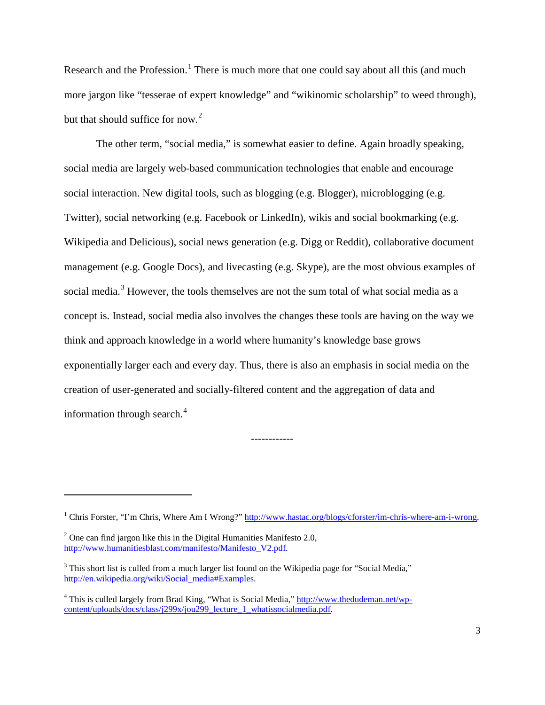Research and the Profession.<sup>[1](#page-2-0)</sup> There is much more that one could say about all this (and much more jargon like "tesserae of expert knowledge" and "wikinomic scholarship" to weed through), but that should suffice for now.<sup>[2](#page-2-1)</sup>

The other term, "social media," is somewhat easier to define. Again broadly speaking, social media are largely web-based communication technologies that enable and encourage social interaction. New digital tools, such as blogging (e.g. Blogger), microblogging (e.g. Twitter), social networking (e.g. Facebook or LinkedIn), wikis and social bookmarking (e.g. Wikipedia and Delicious), social news generation (e.g. Digg or Reddit), collaborative document management (e.g. Google Docs), and livecasting (e.g. Skype), are the most obvious examples of social media.<sup>[3](#page-2-2)</sup> However, the tools themselves are not the sum total of what social media as a concept is. Instead, social media also involves the changes these tools are having on the way we think and approach knowledge in a world where humanity's knowledge base grows exponentially larger each and every day. Thus, there is also an emphasis in social media on the creation of user-generated and socially-filtered content and the aggregation of data and information through search.<sup>[4](#page-2-3)</sup>

l

<span id="page-2-0"></span><sup>&</sup>lt;sup>1</sup> Chris Forster, "I'm Chris, Where Am I Wrong?" [http://www.hastac.org/blogs/cforster/im-chris-where-am-i-wrong.](http://www.hastac.org/blogs/cforster/im-chris-where-am-i-wrong)

<span id="page-2-1"></span> $2^2$  One can find jargon like this in the Digital Humanities Manifesto 2.0, [http://www.humanitiesblast.com/manifesto/Manifesto\\_V2.pdf.](http://www.humanitiesblast.com/manifesto/Manifesto_V2.pdf)

<span id="page-2-2"></span><sup>&</sup>lt;sup>3</sup> This short list is culled from a much larger list found on the Wikipedia page for "Social Media," [http://en.wikipedia.org/wiki/Social\\_media#Examples.](http://en.wikipedia.org/wiki/Social_media#Examples) 

<span id="page-2-3"></span><sup>4</sup> This is culled largely from Brad King, "What is Social Media," [http://www.thedudeman.net/wp](http://www.thedudeman.net/wp-content/uploads/docs/class/j299x/jou299_lecture_1_whatissocialmedia.pdf)[content/uploads/docs/class/j299x/jou299\\_lecture\\_1\\_whatissocialmedia.pdf.](http://www.thedudeman.net/wp-content/uploads/docs/class/j299x/jou299_lecture_1_whatissocialmedia.pdf)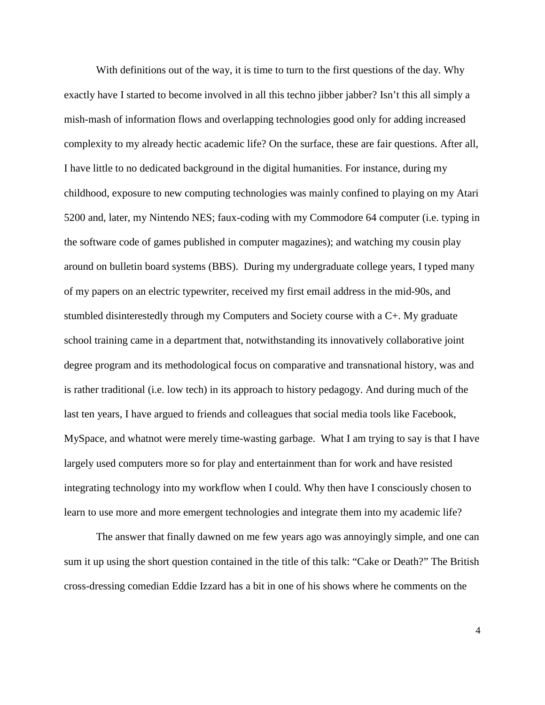With definitions out of the way, it is time to turn to the first questions of the day. Why exactly have I started to become involved in all this techno jibber jabber? Isn't this all simply a mish-mash of information flows and overlapping technologies good only for adding increased complexity to my already hectic academic life? On the surface, these are fair questions. After all, I have little to no dedicated background in the digital humanities. For instance, during my childhood, exposure to new computing technologies was mainly confined to playing on my Atari 5200 and, later, my Nintendo NES; faux-coding with my Commodore 64 computer (i.e. typing in the software code of games published in computer magazines); and watching my cousin play around on bulletin board systems (BBS). During my undergraduate college years, I typed many of my papers on an electric typewriter, received my first email address in the mid-90s, and stumbled disinterestedly through my Computers and Society course with a C+. My graduate school training came in a department that, notwithstanding its innovatively collaborative joint degree program and its methodological focus on comparative and transnational history, was and is rather traditional (i.e. low tech) in its approach to history pedagogy. And during much of the last ten years, I have argued to friends and colleagues that social media tools like Facebook, MySpace, and whatnot were merely time-wasting garbage. What I am trying to say is that I have largely used computers more so for play and entertainment than for work and have resisted integrating technology into my workflow when I could. Why then have I consciously chosen to learn to use more and more emergent technologies and integrate them into my academic life?

The answer that finally dawned on me few years ago was annoyingly simple, and one can sum it up using the short question contained in the title of this talk: "Cake or Death?" The British cross-dressing comedian Eddie Izzard has a bit in one of his shows where he comments on the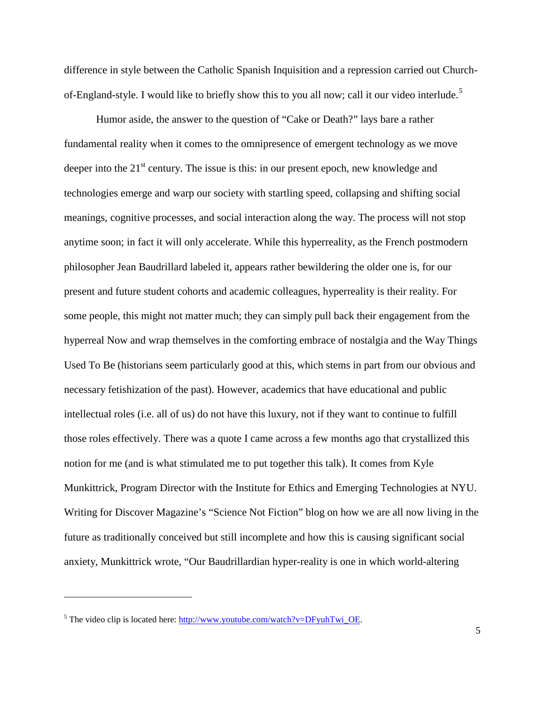difference in style between the Catholic Spanish Inquisition and a repression carried out Church-of-England-style. I would like to briefly show this to you all now; call it our video interlude.<sup>[5](#page-4-0)</sup>

Humor aside, the answer to the question of "Cake or Death?" lays bare a rather fundamental reality when it comes to the omnipresence of emergent technology as we move deeper into the  $21<sup>st</sup>$  century. The issue is this: in our present epoch, new knowledge and technologies emerge and warp our society with startling speed, collapsing and shifting social meanings, cognitive processes, and social interaction along the way. The process will not stop anytime soon; in fact it will only accelerate. While this hyperreality, as the French postmodern philosopher Jean Baudrillard labeled it, appears rather bewildering the older one is, for our present and future student cohorts and academic colleagues, hyperreality is their reality. For some people, this might not matter much; they can simply pull back their engagement from the hyperreal Now and wrap themselves in the comforting embrace of nostalgia and the Way Things Used To Be (historians seem particularly good at this, which stems in part from our obvious and necessary fetishization of the past). However, academics that have educational and public intellectual roles (i.e. all of us) do not have this luxury, not if they want to continue to fulfill those roles effectively. There was a quote I came across a few months ago that crystallized this notion for me (and is what stimulated me to put together this talk). It comes from Kyle Munkittrick, Program Director with the Institute for Ethics and Emerging Technologies at NYU. Writing for Discover Magazine's "Science Not Fiction" blog on how we are all now living in the future as traditionally conceived but still incomplete and how this is causing significant social anxiety, Munkittrick wrote, "Our Baudrillardian hyper-reality is one in which world-altering

 $\overline{\phantom{0}}$ 

<span id="page-4-0"></span> $<sup>5</sup>$  The video clip is located here: [http://www.youtube.com/watch?v=DFyuhTwi\\_OE.](http://www.youtube.com/watch?v=DFyuhTwi_OE)</sup>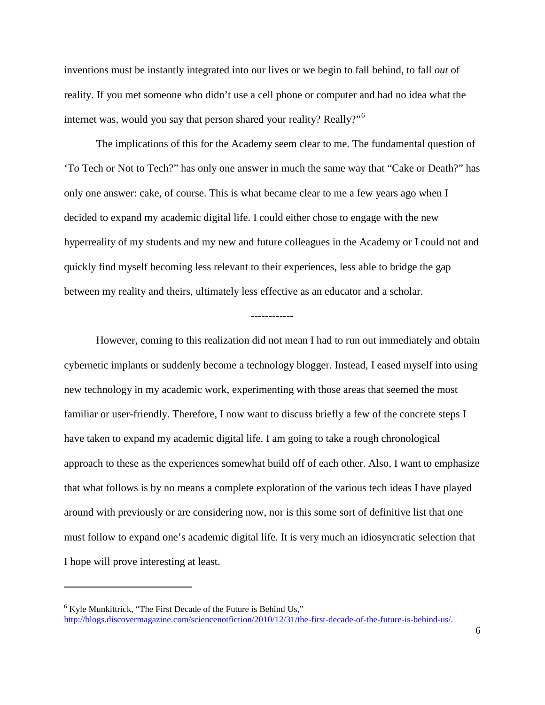inventions must be instantly integrated into our lives or we begin to fall behind, to fall *out* of reality. If you met someone who didn't use a cell phone or computer and had no idea what the internet was, would you say that person shared your reality? Really?"<sup>[6](#page-5-0)</sup>

The implications of this for the Academy seem clear to me. The fundamental question of 'To Tech or Not to Tech?" has only one answer in much the same way that "Cake or Death?" has only one answer: cake, of course. This is what became clear to me a few years ago when I decided to expand my academic digital life. I could either chose to engage with the new hyperreality of my students and my new and future colleagues in the Academy or I could not and quickly find myself becoming less relevant to their experiences, less able to bridge the gap between my reality and theirs, ultimately less effective as an educator and a scholar.

------------

However, coming to this realization did not mean I had to run out immediately and obtain cybernetic implants or suddenly become a technology blogger. Instead, I eased myself into using new technology in my academic work, experimenting with those areas that seemed the most familiar or user-friendly. Therefore, I now want to discuss briefly a few of the concrete steps I have taken to expand my academic digital life. I am going to take a rough chronological approach to these as the experiences somewhat build off of each other. Also, I want to emphasize that what follows is by no means a complete exploration of the various tech ideas I have played around with previously or are considering now, nor is this some sort of definitive list that one must follow to expand one's academic digital life. It is very much an idiosyncratic selection that I hope will prove interesting at least.

 $\overline{\phantom{0}}$ 

<span id="page-5-0"></span> $6$  Kyle Munkittrick, "The First Decade of the Future is Behind Us," [http://blogs.discovermagazine.com/sciencenotfiction/2010/12/31/the-first-decade-of-the-future-is-behind-us/.](http://blogs.discovermagazine.com/sciencenotfiction/2010/12/31/the-first-decade-of-the-future-is-behind-us/)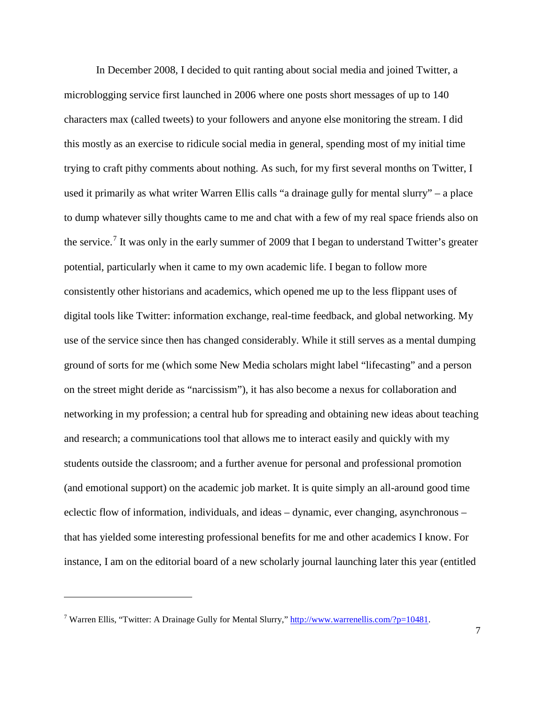In December 2008, I decided to quit ranting about social media and joined Twitter, a microblogging service first launched in 2006 where one posts short messages of up to 140 characters max (called tweets) to your followers and anyone else monitoring the stream. I did this mostly as an exercise to ridicule social media in general, spending most of my initial time trying to craft pithy comments about nothing. As such, for my first several months on Twitter, I used it primarily as what writer Warren Ellis calls "a drainage gully for mental slurry" – a place to dump whatever silly thoughts came to me and chat with a few of my real space friends also on the service.<sup>[7](#page-6-0)</sup> It was only in the early summer of 2009 that I began to understand Twitter's greater potential, particularly when it came to my own academic life. I began to follow more consistently other historians and academics, which opened me up to the less flippant uses of digital tools like Twitter: information exchange, real-time feedback, and global networking. My use of the service since then has changed considerably. While it still serves as a mental dumping ground of sorts for me (which some New Media scholars might label "lifecasting" and a person on the street might deride as "narcissism"), it has also become a nexus for collaboration and networking in my profession; a central hub for spreading and obtaining new ideas about teaching and research; a communications tool that allows me to interact easily and quickly with my students outside the classroom; and a further avenue for personal and professional promotion (and emotional support) on the academic job market. It is quite simply an all-around good time eclectic flow of information, individuals, and ideas – dynamic, ever changing, asynchronous – that has yielded some interesting professional benefits for me and other academics I know. For instance, I am on the editorial board of a new scholarly journal launching later this year (entitled

 $\overline{\phantom{0}}$ 

<span id="page-6-0"></span><sup>&</sup>lt;sup>7</sup> Warren Ellis, "Twitter: A Drainage Gully for Mental Slurry," http://www.warrenellis.com/?p=10481.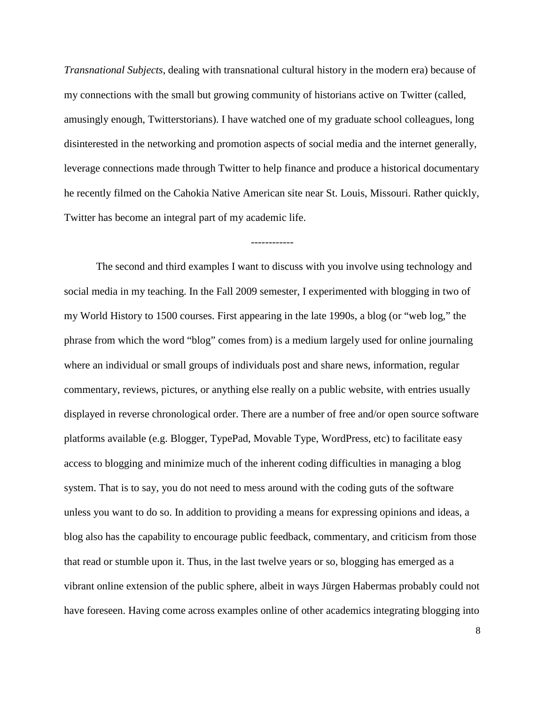*Transnational Subjects*, dealing with transnational cultural history in the modern era) because of my connections with the small but growing community of historians active on Twitter (called, amusingly enough, Twitterstorians). I have watched one of my graduate school colleagues, long disinterested in the networking and promotion aspects of social media and the internet generally, leverage connections made through Twitter to help finance and produce a historical documentary he recently filmed on the Cahokia Native American site near St. Louis, Missouri. Rather quickly, Twitter has become an integral part of my academic life.

------------

The second and third examples I want to discuss with you involve using technology and social media in my teaching. In the Fall 2009 semester, I experimented with blogging in two of my World History to 1500 courses. First appearing in the late 1990s, a blog (or "web log," the phrase from which the word "blog" comes from) is a medium largely used for online journaling where an individual or small groups of individuals post and share news, information, regular commentary, reviews, pictures, or anything else really on a public website, with entries usually displayed in reverse chronological order. There are a number of free and/or open source software platforms available (e.g. Blogger, TypePad, Movable Type, WordPress, etc) to facilitate easy access to blogging and minimize much of the inherent coding difficulties in managing a blog system. That is to say, you do not need to mess around with the coding guts of the software unless you want to do so. In addition to providing a means for expressing opinions and ideas, a blog also has the capability to encourage public feedback, commentary, and criticism from those that read or stumble upon it. Thus, in the last twelve years or so, blogging has emerged as a vibrant online extension of the public sphere, albeit in ways Jürgen Habermas probably could not have foreseen. Having come across examples online of other academics integrating blogging into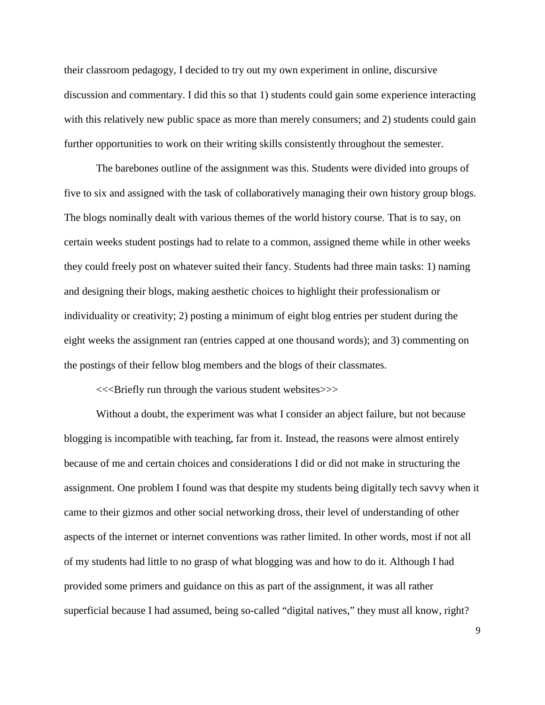their classroom pedagogy, I decided to try out my own experiment in online, discursive discussion and commentary. I did this so that 1) students could gain some experience interacting with this relatively new public space as more than merely consumers; and 2) students could gain further opportunities to work on their writing skills consistently throughout the semester.

The barebones outline of the assignment was this. Students were divided into groups of five to six and assigned with the task of collaboratively managing their own history group blogs. The blogs nominally dealt with various themes of the world history course. That is to say, on certain weeks student postings had to relate to a common, assigned theme while in other weeks they could freely post on whatever suited their fancy. Students had three main tasks: 1) naming and designing their blogs, making aesthetic choices to highlight their professionalism or individuality or creativity; 2) posting a minimum of eight blog entries per student during the eight weeks the assignment ran (entries capped at one thousand words); and 3) commenting on the postings of their fellow blog members and the blogs of their classmates.

<<<Briefly run through the various student websites>>>

Without a doubt, the experiment was what I consider an abject failure, but not because blogging is incompatible with teaching, far from it. Instead, the reasons were almost entirely because of me and certain choices and considerations I did or did not make in structuring the assignment. One problem I found was that despite my students being digitally tech savvy when it came to their gizmos and other social networking dross, their level of understanding of other aspects of the internet or internet conventions was rather limited. In other words, most if not all of my students had little to no grasp of what blogging was and how to do it. Although I had provided some primers and guidance on this as part of the assignment, it was all rather superficial because I had assumed, being so-called "digital natives," they must all know, right?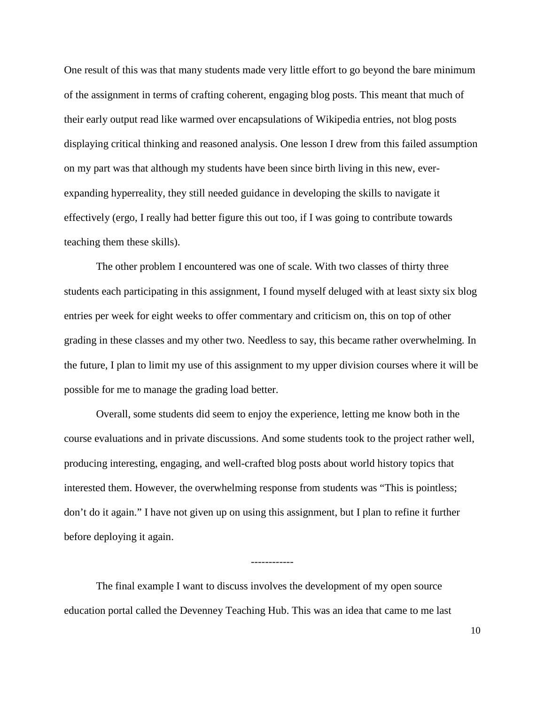One result of this was that many students made very little effort to go beyond the bare minimum of the assignment in terms of crafting coherent, engaging blog posts. This meant that much of their early output read like warmed over encapsulations of Wikipedia entries, not blog posts displaying critical thinking and reasoned analysis. One lesson I drew from this failed assumption on my part was that although my students have been since birth living in this new, everexpanding hyperreality, they still needed guidance in developing the skills to navigate it effectively (ergo, I really had better figure this out too, if I was going to contribute towards teaching them these skills).

The other problem I encountered was one of scale. With two classes of thirty three students each participating in this assignment, I found myself deluged with at least sixty six blog entries per week for eight weeks to offer commentary and criticism on, this on top of other grading in these classes and my other two. Needless to say, this became rather overwhelming. In the future, I plan to limit my use of this assignment to my upper division courses where it will be possible for me to manage the grading load better.

Overall, some students did seem to enjoy the experience, letting me know both in the course evaluations and in private discussions. And some students took to the project rather well, producing interesting, engaging, and well-crafted blog posts about world history topics that interested them. However, the overwhelming response from students was "This is pointless; don't do it again." I have not given up on using this assignment, but I plan to refine it further before deploying it again.

------------

The final example I want to discuss involves the development of my open source education portal called the Devenney Teaching Hub. This was an idea that came to me last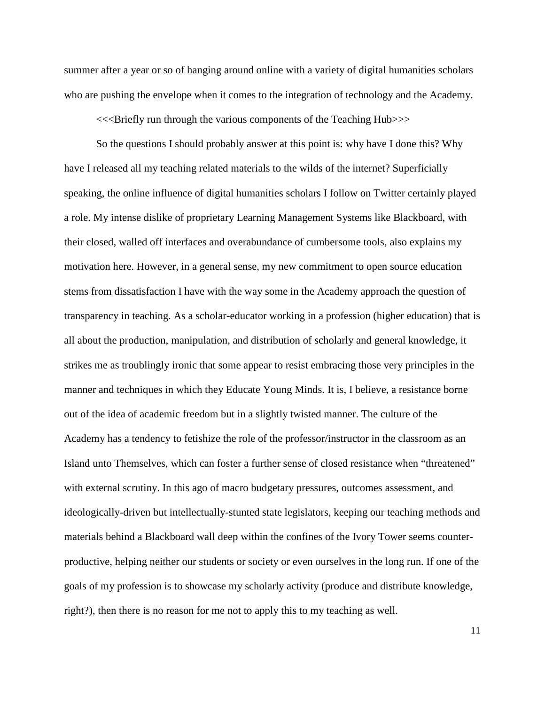summer after a year or so of hanging around online with a variety of digital humanities scholars who are pushing the envelope when it comes to the integration of technology and the Academy.

<<<Briefly run through the various components of the Teaching Hub>>>

So the questions I should probably answer at this point is: why have I done this? Why have I released all my teaching related materials to the wilds of the internet? Superficially speaking, the online influence of digital humanities scholars I follow on Twitter certainly played a role. My intense dislike of proprietary Learning Management Systems like Blackboard, with their closed, walled off interfaces and overabundance of cumbersome tools, also explains my motivation here. However, in a general sense, my new commitment to open source education stems from dissatisfaction I have with the way some in the Academy approach the question of transparency in teaching. As a scholar-educator working in a profession (higher education) that is all about the production, manipulation, and distribution of scholarly and general knowledge, it strikes me as troublingly ironic that some appear to resist embracing those very principles in the manner and techniques in which they Educate Young Minds. It is, I believe, a resistance borne out of the idea of academic freedom but in a slightly twisted manner. The culture of the Academy has a tendency to fetishize the role of the professor/instructor in the classroom as an Island unto Themselves, which can foster a further sense of closed resistance when "threatened" with external scrutiny. In this ago of macro budgetary pressures, outcomes assessment, and ideologically-driven but intellectually-stunted state legislators, keeping our teaching methods and materials behind a Blackboard wall deep within the confines of the Ivory Tower seems counterproductive, helping neither our students or society or even ourselves in the long run. If one of the goals of my profession is to showcase my scholarly activity (produce and distribute knowledge, right?), then there is no reason for me not to apply this to my teaching as well.